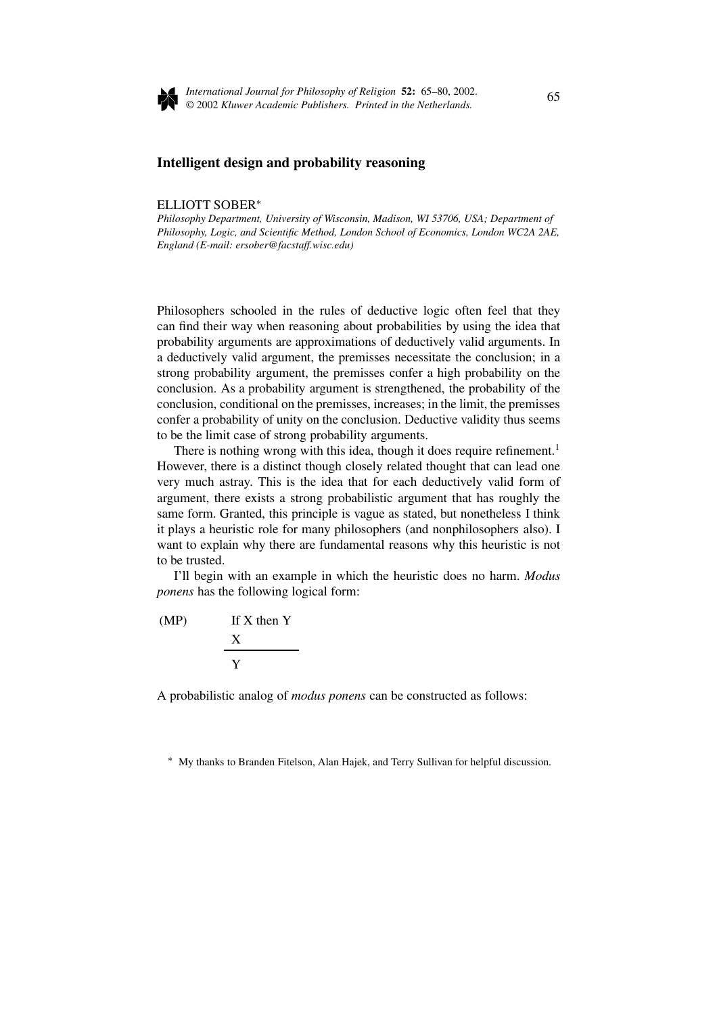

*International Journal for Philosophy of Religion* **52:** 65–80, 2002. © 2002 *Kluwer Academic Publishers. Printed in the Netherlands.* <sup>65</sup>

# **Intelligent design and probability reasoning**

## ELLIOTT SOBER<sup>∗</sup>

*Philosophy Department, University of Wisconsin, Madison, WI 53706, USA; Department of Philosophy, Logic, and Scientific Method, London School of Economics, London WC2A 2AE, England (E-mail: ersober@facstaff.wisc.edu)*

Philosophers schooled in the rules of deductive logic often feel that they can find their way when reasoning about probabilities by using the idea that probability arguments are approximations of deductively valid arguments. In a deductively valid argument, the premisses necessitate the conclusion; in a strong probability argument, the premisses confer a high probability on the conclusion. As a probability argument is strengthened, the probability of the conclusion, conditional on the premisses, increases; in the limit, the premisses confer a probability of unity on the conclusion. Deductive validity thus seems to be the limit case of strong probability arguments.

There is nothing wrong with this idea, though it does require refinement.<sup>1</sup> However, there is a distinct though closely related thought that can lead one very much astray. This is the idea that for each deductively valid form of argument, there exists a strong probabilistic argument that has roughly the same form. Granted, this principle is vague as stated, but nonetheless I think it plays a heuristic role for many philosophers (and nonphilosophers also). I want to explain why there are fundamental reasons why this heuristic is not to be trusted.

I'll begin with an example in which the heuristic does no harm. *Modus ponens* has the following logical form:

$$
\begin{array}{c}\n\text{(MP)} \\
\text{If X then Y} \\
\hline\nY\n\end{array}
$$

A probabilistic analog of *modus ponens* can be constructed as follows:

∗ My thanks to Branden Fitelson, Alan Hajek, and Terry Sullivan for helpful discussion.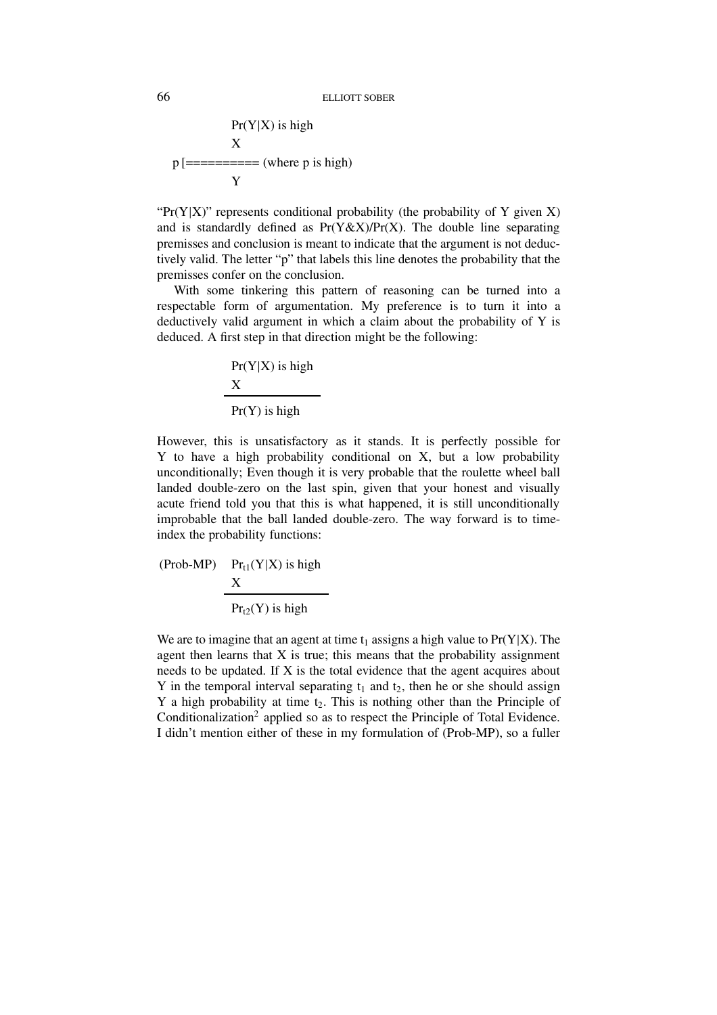$$
Pr(Y|X) \text{ is high}
$$
\n
$$
X
$$
\n
$$
p \left[ \frac{1}{1 - 1} \right] = \frac{1}{1 - 1} \text{ (where } p \text{ is high)}
$$
\n
$$
Y
$$

" $Pr(Y|X)$ " represents conditional probability (the probability of Y given X) and is standardly defined as  $Pr(Y \& X)/Pr(X)$ . The double line separating premisses and conclusion is meant to indicate that the argument is not deductively valid. The letter "p" that labels this line denotes the probability that the premisses confer on the conclusion.

With some tinkering this pattern of reasoning can be turned into a respectable form of argumentation. My preference is to turn it into a deductively valid argument in which a claim about the probability of Y is deduced. A first step in that direction might be the following:

$$
Pr(Y|X) \text{ is high}
$$
\n
$$
\frac{X}{Pr(Y) \text{ is high}}
$$

However, this is unsatisfactory as it stands. It is perfectly possible for Y to have a high probability conditional on X, but a low probability unconditionally; Even though it is very probable that the roulette wheel ball landed double-zero on the last spin, given that your honest and visually acute friend told you that this is what happened, it is still unconditionally improbable that the ball landed double-zero. The way forward is to timeindex the probability functions:

$$
\begin{array}{ll}\n\text{(Prob-MP)} & Pr_{t1}(Y|X) \text{ is high} \\
\hline\n& X \\
& Pr_{t2}(Y) \text{ is high}\n\end{array}
$$

We are to imagine that an agent at time  $t_1$  assigns a high value to  $Pr(Y|X)$ . The agent then learns that  $X$  is true; this means that the probability assignment needs to be updated. If X is the total evidence that the agent acquires about Y in the temporal interval separating  $t_1$  and  $t_2$ , then he or she should assign Y a high probability at time  $t_2$ . This is nothing other than the Principle of Conditionalization<sup>2</sup> applied so as to respect the Principle of Total Evidence. I didn't mention either of these in my formulation of (Prob-MP), so a fuller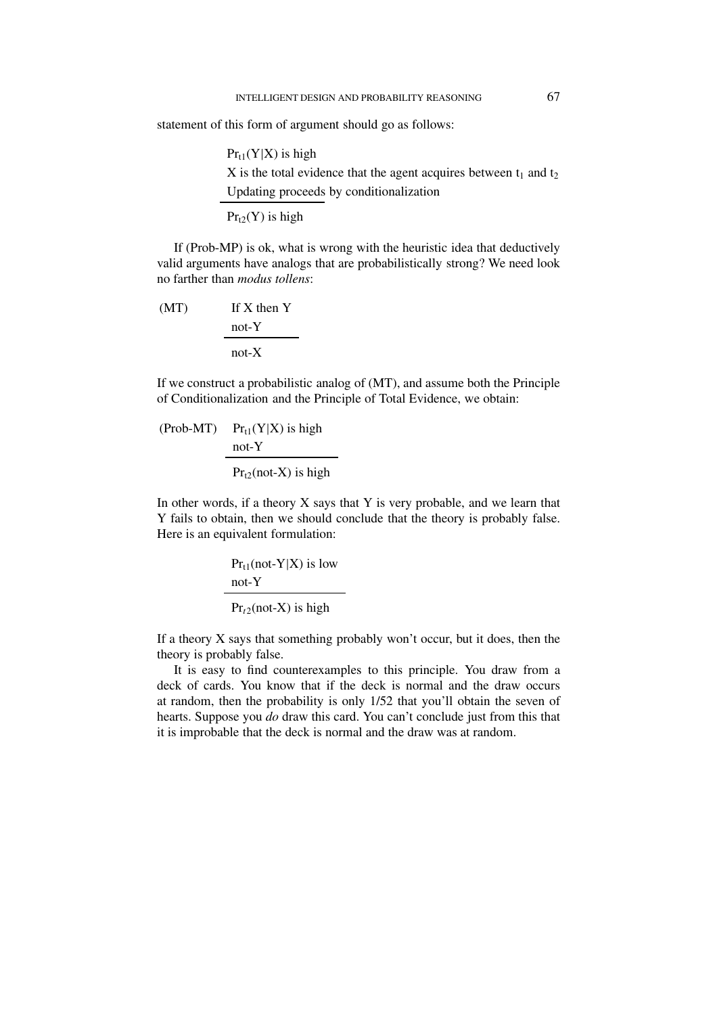statement of this form of argument should go as follows:

 $Pr_{t1}(Y|X)$  is high X is the total evidence that the agent acquires between  $t_1$  and  $t_2$ Updating proceeds by conditionalization

 $Pr<sub>t2</sub>(Y)$  is high

If (Prob-MP) is ok, what is wrong with the heuristic idea that deductively valid arguments have analogs that are probabilistically strong? We need look no farther than *modus tollens*:

| (MT) | If $X$ then $Y$ |  |  |
|------|-----------------|--|--|
|      | not-Y           |  |  |
|      | $not-X$         |  |  |

If we construct a probabilistic analog of (MT), and assume both the Principle of Conditionalization and the Principle of Total Evidence, we obtain:

$$
\begin{array}{ll}\n\text{(Prob-MT)} & Pr_{t1}(Y|X) \text{ is high} \\
\hline\n& \text{not-Y} \\
& \text{Pr}_{t2}(\text{not-X}) \text{ is high}\n\end{array}
$$

In other words, if a theory  $X$  says that  $Y$  is very probable, and we learn that Y fails to obtain, then we should conclude that the theory is probably false. Here is an equivalent formulation:

$$
\frac{Pr_{t1}(not-Y|X) \text{ is low} \text{not-Y}}{Pr_{t2}(not-X) \text{ is high}}
$$

If a theory  $X$  says that something probably won't occur, but it does, then the theory is probably false.

It is easy to find counterexamples to this principle. You draw from a deck of cards. You know that if the deck is normal and the draw occurs at random, then the probability is only 1/52 that you'll obtain the seven of hearts. Suppose you *do* draw this card. You can't conclude just from this that it is improbable that the deck is normal and the draw was at random.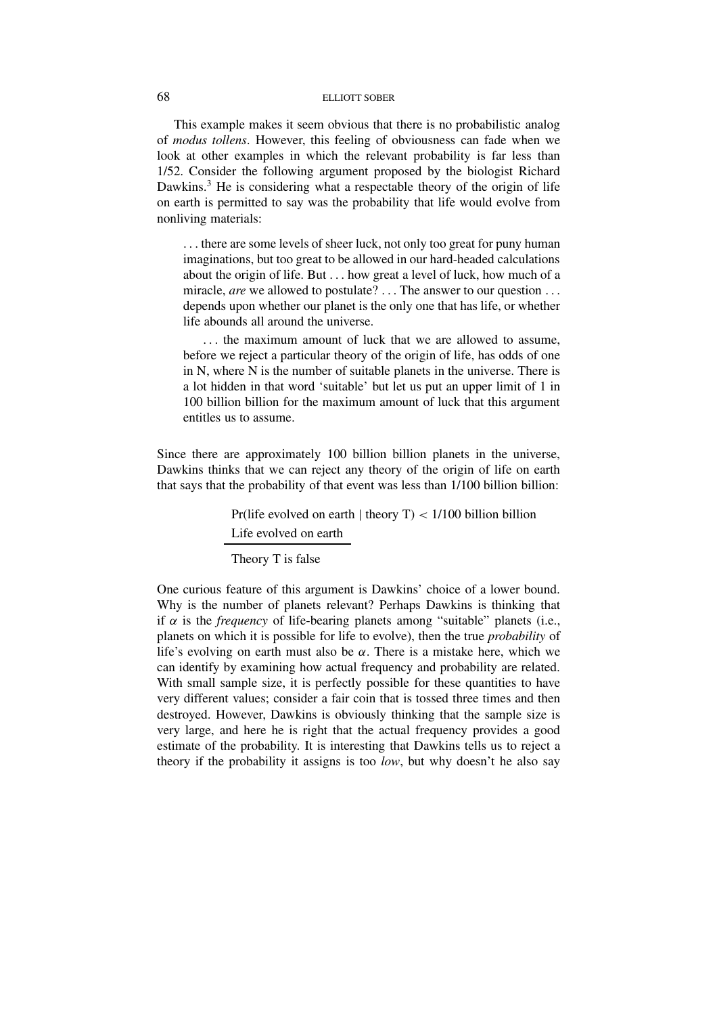This example makes it seem obvious that there is no probabilistic analog of *modus tollens*. However, this feeling of obviousness can fade when we look at other examples in which the relevant probability is far less than 1/52. Consider the following argument proposed by the biologist Richard Dawkins.<sup>3</sup> He is considering what a respectable theory of the origin of life on earth is permitted to say was the probability that life would evolve from nonliving materials:

*...* there are some levels of sheer luck, not only too great for puny human imaginations, but too great to be allowed in our hard-headed calculations about the origin of life. But *...* how great a level of luck, how much of a miracle, *are* we allowed to postulate? *...* The answer to our question *...* depends upon whether our planet is the only one that has life, or whether life abounds all around the universe.

*...* the maximum amount of luck that we are allowed to assume, before we reject a particular theory of the origin of life, has odds of one in N, where N is the number of suitable planets in the universe. There is a lot hidden in that word 'suitable' but let us put an upper limit of 1 in 100 billion billion for the maximum amount of luck that this argument entitles us to assume.

Since there are approximately 100 billion billion planets in the universe, Dawkins thinks that we can reject any theory of the origin of life on earth that says that the probability of that event was less than 1/100 billion billion:

> Pr(life evolved on earth | theory T) *<* 1/100 billion billion Life evolved on earth

Theory T is false

One curious feature of this argument is Dawkins' choice of a lower bound. Why is the number of planets relevant? Perhaps Dawkins is thinking that if  $\alpha$  is the *frequency* of life-bearing planets among "suitable" planets (i.e., planets on which it is possible for life to evolve), then the true *probability* of life's evolving on earth must also be *α*. There is a mistake here, which we can identify by examining how actual frequency and probability are related. With small sample size, it is perfectly possible for these quantities to have very different values; consider a fair coin that is tossed three times and then destroyed. However, Dawkins is obviously thinking that the sample size is very large, and here he is right that the actual frequency provides a good estimate of the probability. It is interesting that Dawkins tells us to reject a theory if the probability it assigns is too *low*, but why doesn't he also say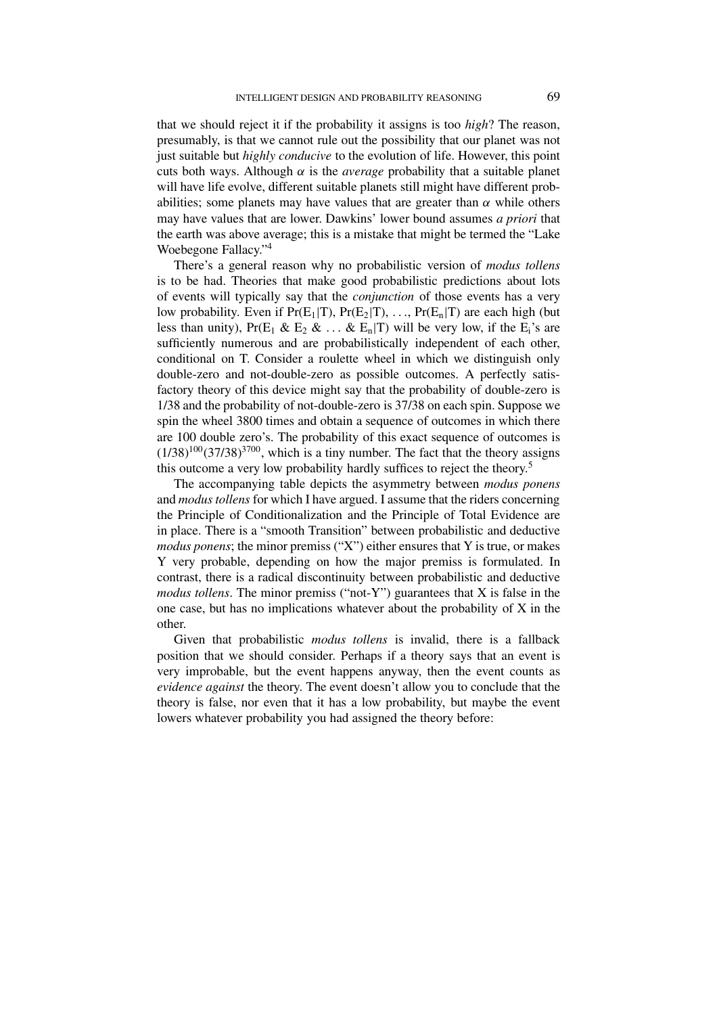that we should reject it if the probability it assigns is too *high*? The reason, presumably, is that we cannot rule out the possibility that our planet was not just suitable but *highly conducive* to the evolution of life. However, this point cuts both ways. Although  $\alpha$  is the *average* probability that a suitable planet will have life evolve, different suitable planets still might have different probabilities; some planets may have values that are greater than  $\alpha$  while others may have values that are lower. Dawkins' lower bound assumes *a priori* that the earth was above average; this is a mistake that might be termed the "Lake Woebegone Fallacy."4

There's a general reason why no probabilistic version of *modus tollens* is to be had. Theories that make good probabilistic predictions about lots of events will typically say that the *conjunction* of those events has a very low probability. Even if  $Pr(E_1|T)$ ,  $Pr(E_2|T)$ , ...,  $Pr(E_n|T)$  are each high (but less than unity),  $Pr(E_1 \& E_2 \& \ldots \& E_n|T)$  will be very low, if the  $E_i$ 's are sufficiently numerous and are probabilistically independent of each other, conditional on T. Consider a roulette wheel in which we distinguish only double-zero and not-double-zero as possible outcomes. A perfectly satisfactory theory of this device might say that the probability of double-zero is 1/38 and the probability of not-double-zero is 37/38 on each spin. Suppose we spin the wheel 3800 times and obtain a sequence of outcomes in which there are 100 double zero's. The probability of this exact sequence of outcomes is  $(1/38)^{100}(37/38)^{3700}$ , which is a tiny number. The fact that the theory assigns this outcome a very low probability hardly suffices to reject the theory.<sup>5</sup>

The accompanying table depicts the asymmetry between *modus ponens* and *modus tollens* for which I have argued. I assume that the riders concerning the Principle of Conditionalization and the Principle of Total Evidence are in place. There is a "smooth Transition" between probabilistic and deductive *modus ponens*; the minor premiss ("X") either ensures that Y is true, or makes Y very probable, depending on how the major premiss is formulated. In contrast, there is a radical discontinuity between probabilistic and deductive *modus tollens*. The minor premiss ("not-Y") guarantees that X is false in the one case, but has no implications whatever about the probability of X in the other.

Given that probabilistic *modus tollens* is invalid, there is a fallback position that we should consider. Perhaps if a theory says that an event is very improbable, but the event happens anyway, then the event counts as *evidence against* the theory. The event doesn't allow you to conclude that the theory is false, nor even that it has a low probability, but maybe the event lowers whatever probability you had assigned the theory before: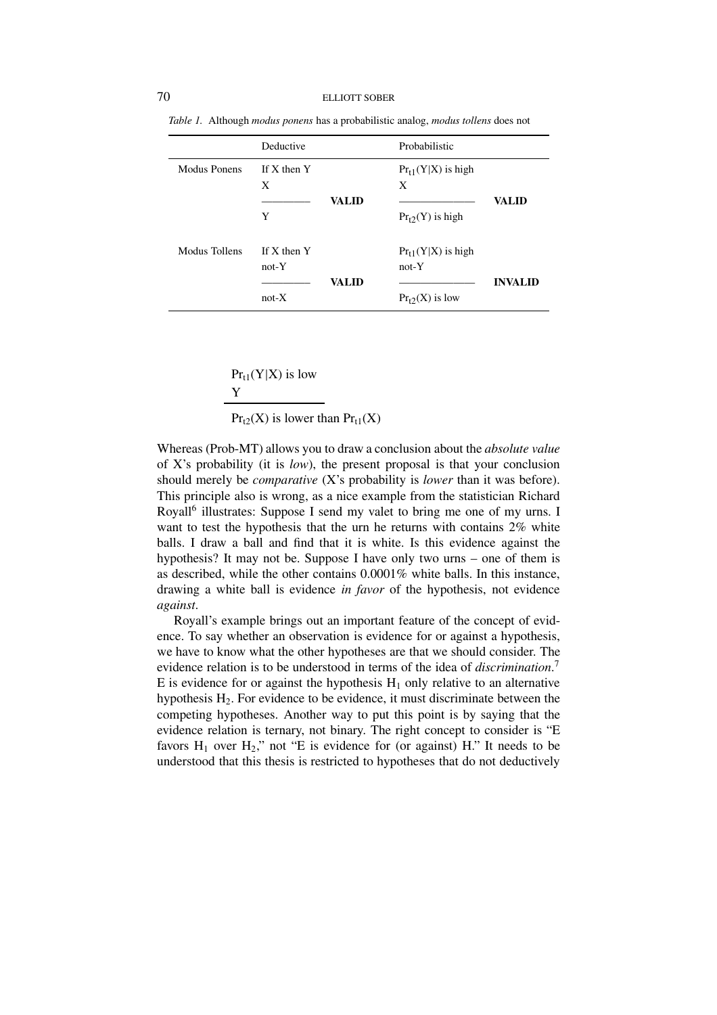|               | Deductive                             |       | Probabilistic                                            |                |
|---------------|---------------------------------------|-------|----------------------------------------------------------|----------------|
| Modus Ponens  | If $X$ then $Y$<br>X<br>Y             | VALID | $Pr_{t1}(Y X)$ is high<br>X<br>$Pr_{t2}(Y)$ is high      | VALID          |
| Modus Tollens | If $X$ then $Y$<br>$not-Y$<br>$not-X$ | VALID | $Pr_{t1}(Y X)$ is high<br>$not-Y$<br>$Pr_{t2}(X)$ is low | <b>INVALID</b> |

*Table 1.* Although *modus ponens* has a probabilistic analog, *modus tollens* does not

$$
\Pr_{t1}(Y|X) \text{ is low}
$$

 $Pr_{t2}(X)$  is lower than  $Pr_{t1}(X)$ 

Whereas (Prob-MT) allows you to draw a conclusion about the *absolute value* of X's probability (it is *low*), the present proposal is that your conclusion should merely be *comparative* (X's probability is *lower* than it was before). This principle also is wrong, as a nice example from the statistician Richard Royall<sup>6</sup> illustrates: Suppose I send my valet to bring me one of my urns. I want to test the hypothesis that the urn he returns with contains 2% white balls. I draw a ball and find that it is white. Is this evidence against the hypothesis? It may not be. Suppose I have only two urns – one of them is as described, while the other contains 0.0001% white balls. In this instance, drawing a white ball is evidence *in favor* of the hypothesis, not evidence *against*.

Royall's example brings out an important feature of the concept of evidence. To say whether an observation is evidence for or against a hypothesis, we have to know what the other hypotheses are that we should consider. The evidence relation is to be understood in terms of the idea of *discrimination*. 7 E is evidence for or against the hypothesis  $H_1$  only relative to an alternative hypothesis  $H_2$ . For evidence to be evidence, it must discriminate between the competing hypotheses. Another way to put this point is by saying that the evidence relation is ternary, not binary. The right concept to consider is "E favors  $H_1$  over  $H_2$ ," not "E is evidence for (or against) H." It needs to be understood that this thesis is restricted to hypotheses that do not deductively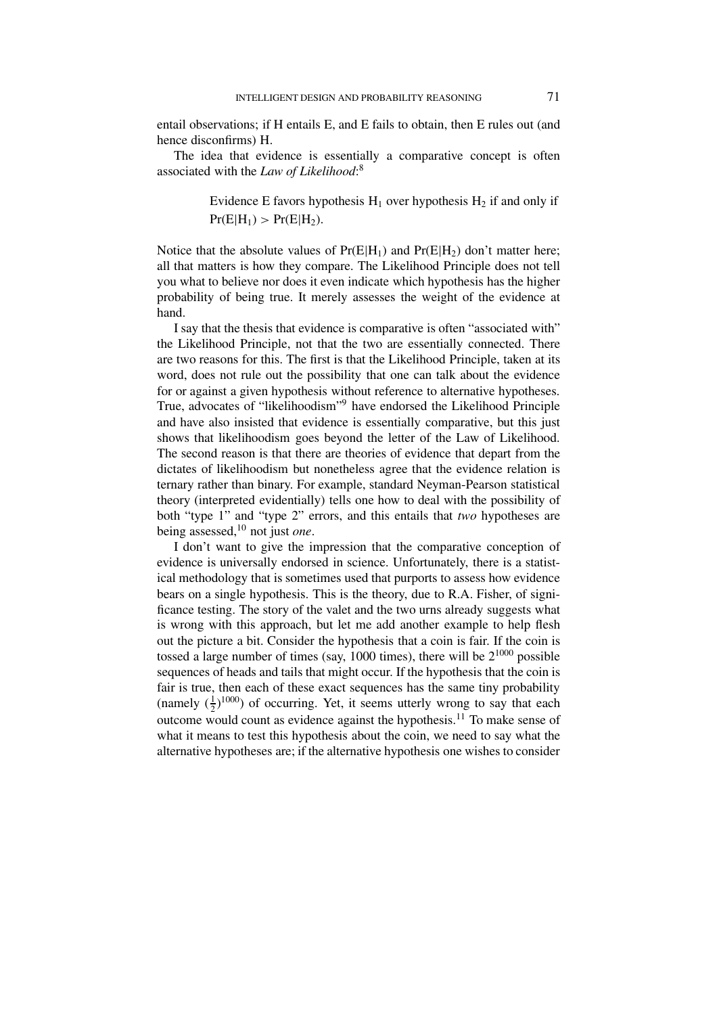entail observations; if H entails E, and E fails to obtain, then E rules out (and hence disconfirms) H.

The idea that evidence is essentially a comparative concept is often associated with the *Law of Likelihood*: 8

> Evidence E favors hypothesis  $H_1$  over hypothesis  $H_2$  if and only if  $Pr(E|H_1)$  >  $Pr(E|H_2)$ .

Notice that the absolute values of  $Pr(E|H_1)$  and  $Pr(E|H_2)$  don't matter here; all that matters is how they compare. The Likelihood Principle does not tell you what to believe nor does it even indicate which hypothesis has the higher probability of being true. It merely assesses the weight of the evidence at hand.

I say that the thesis that evidence is comparative is often "associated with" the Likelihood Principle, not that the two are essentially connected. There are two reasons for this. The first is that the Likelihood Principle, taken at its word, does not rule out the possibility that one can talk about the evidence for or against a given hypothesis without reference to alternative hypotheses. True, advocates of "likelihoodism"9 have endorsed the Likelihood Principle and have also insisted that evidence is essentially comparative, but this just shows that likelihoodism goes beyond the letter of the Law of Likelihood. The second reason is that there are theories of evidence that depart from the dictates of likelihoodism but nonetheless agree that the evidence relation is ternary rather than binary. For example, standard Neyman-Pearson statistical theory (interpreted evidentially) tells one how to deal with the possibility of both "type 1" and "type 2" errors, and this entails that *two* hypotheses are being assessed,<sup>10</sup> not just *one*.

I don't want to give the impression that the comparative conception of evidence is universally endorsed in science. Unfortunately, there is a statistical methodology that is sometimes used that purports to assess how evidence bears on a single hypothesis. This is the theory, due to R.A. Fisher, of significance testing. The story of the valet and the two urns already suggests what is wrong with this approach, but let me add another example to help flesh out the picture a bit. Consider the hypothesis that a coin is fair. If the coin is tossed a large number of times (say, 1000 times), there will be  $2^{1000}$  possible sequences of heads and tails that might occur. If the hypothesis that the coin is fair is true, then each of these exact sequences has the same tiny probability (namely  $(\frac{1}{2})^{1000}$ ) of occurring. Yet, it seems utterly wrong to say that each outcome would count as evidence against the hypothesis.<sup>11</sup> To make sense of what it means to test this hypothesis about the coin, we need to say what the alternative hypotheses are; if the alternative hypothesis one wishes to consider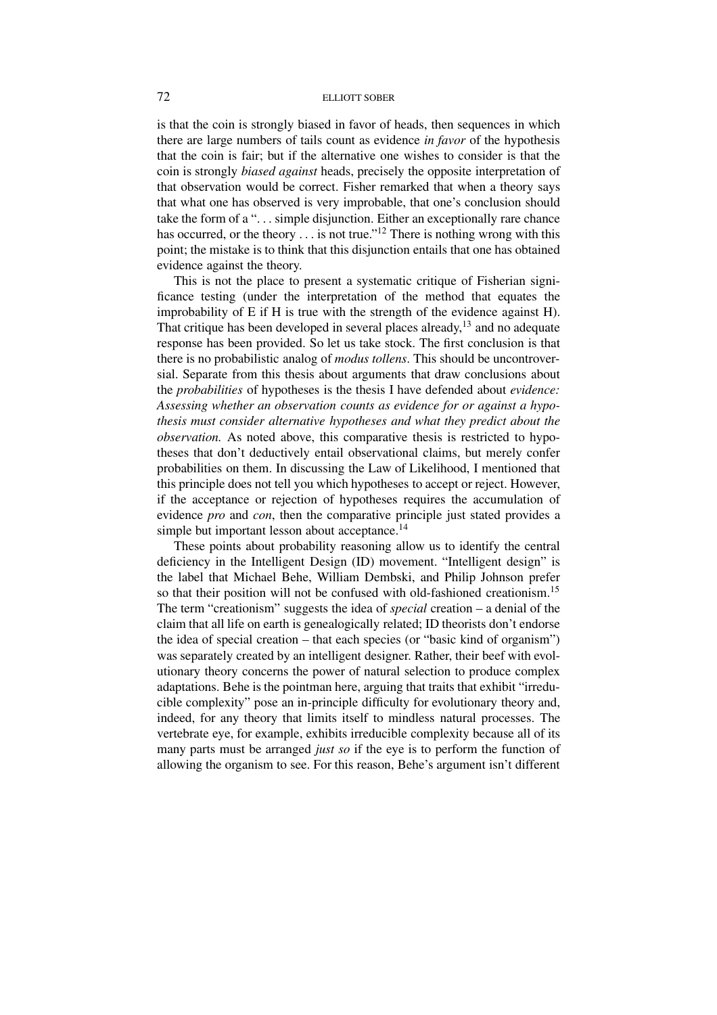is that the coin is strongly biased in favor of heads, then sequences in which there are large numbers of tails count as evidence *in favor* of the hypothesis that the coin is fair; but if the alternative one wishes to consider is that the coin is strongly *biased against* heads, precisely the opposite interpretation of that observation would be correct. Fisher remarked that when a theory says that what one has observed is very improbable, that one's conclusion should take the form of a "*...* simple disjunction. Either an exceptionally rare chance has occurred, or the theory . . . is not true."<sup>12</sup> There is nothing wrong with this point; the mistake is to think that this disjunction entails that one has obtained evidence against the theory.

This is not the place to present a systematic critique of Fisherian significance testing (under the interpretation of the method that equates the improbability of E if H is true with the strength of the evidence against H). That critique has been developed in several places already, $13$  and no adequate response has been provided. So let us take stock. The first conclusion is that there is no probabilistic analog of *modus tollens*. This should be uncontroversial. Separate from this thesis about arguments that draw conclusions about the *probabilities* of hypotheses is the thesis I have defended about *evidence: Assessing whether an observation counts as evidence for or against a hypothesis must consider alternative hypotheses and what they predict about the observation.* As noted above, this comparative thesis is restricted to hypotheses that don't deductively entail observational claims, but merely confer probabilities on them. In discussing the Law of Likelihood, I mentioned that this principle does not tell you which hypotheses to accept or reject. However, if the acceptance or rejection of hypotheses requires the accumulation of evidence *pro* and *con*, then the comparative principle just stated provides a simple but important lesson about acceptance.<sup>14</sup>

These points about probability reasoning allow us to identify the central deficiency in the Intelligent Design (ID) movement. "Intelligent design" is the label that Michael Behe, William Dembski, and Philip Johnson prefer so that their position will not be confused with old-fashioned creationism.<sup>15</sup> The term "creationism" suggests the idea of *special* creation – a denial of the claim that all life on earth is genealogically related; ID theorists don't endorse the idea of special creation – that each species (or "basic kind of organism") was separately created by an intelligent designer. Rather, their beef with evolutionary theory concerns the power of natural selection to produce complex adaptations. Behe is the pointman here, arguing that traits that exhibit "irreducible complexity" pose an in-principle difficulty for evolutionary theory and, indeed, for any theory that limits itself to mindless natural processes. The vertebrate eye, for example, exhibits irreducible complexity because all of its many parts must be arranged *just so* if the eye is to perform the function of allowing the organism to see. For this reason, Behe's argument isn't different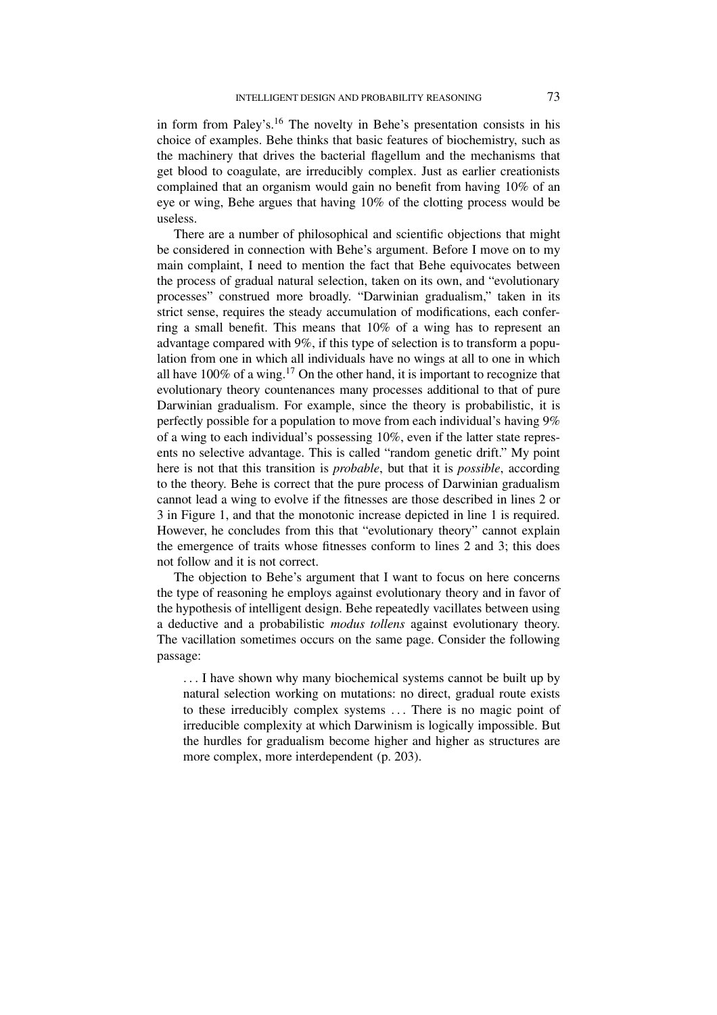in form from Paley's.<sup>16</sup> The novelty in Behe's presentation consists in his choice of examples. Behe thinks that basic features of biochemistry, such as the machinery that drives the bacterial flagellum and the mechanisms that get blood to coagulate, are irreducibly complex. Just as earlier creationists complained that an organism would gain no benefit from having 10% of an eye or wing, Behe argues that having 10% of the clotting process would be useless.

There are a number of philosophical and scientific objections that might be considered in connection with Behe's argument. Before I move on to my main complaint, I need to mention the fact that Behe equivocates between the process of gradual natural selection, taken on its own, and "evolutionary processes" construed more broadly. "Darwinian gradualism," taken in its strict sense, requires the steady accumulation of modifications, each conferring a small benefit. This means that 10% of a wing has to represent an advantage compared with 9%, if this type of selection is to transform a population from one in which all individuals have no wings at all to one in which all have  $100\%$  of a wing.<sup>17</sup> On the other hand, it is important to recognize that evolutionary theory countenances many processes additional to that of pure Darwinian gradualism. For example, since the theory is probabilistic, it is perfectly possible for a population to move from each individual's having 9% of a wing to each individual's possessing 10%, even if the latter state represents no selective advantage. This is called "random genetic drift." My point here is not that this transition is *probable*, but that it is *possible*, according to the theory. Behe is correct that the pure process of Darwinian gradualism cannot lead a wing to evolve if the fitnesses are those described in lines 2 or 3 in Figure 1, and that the monotonic increase depicted in line 1 is required. However, he concludes from this that "evolutionary theory" cannot explain the emergence of traits whose fitnesses conform to lines 2 and 3; this does not follow and it is not correct.

The objection to Behe's argument that I want to focus on here concerns the type of reasoning he employs against evolutionary theory and in favor of the hypothesis of intelligent design. Behe repeatedly vacillates between using a deductive and a probabilistic *modus tollens* against evolutionary theory. The vacillation sometimes occurs on the same page. Consider the following passage:

*...* I have shown why many biochemical systems cannot be built up by natural selection working on mutations: no direct, gradual route exists to these irreducibly complex systems *...* There is no magic point of irreducible complexity at which Darwinism is logically impossible. But the hurdles for gradualism become higher and higher as structures are more complex, more interdependent (p. 203).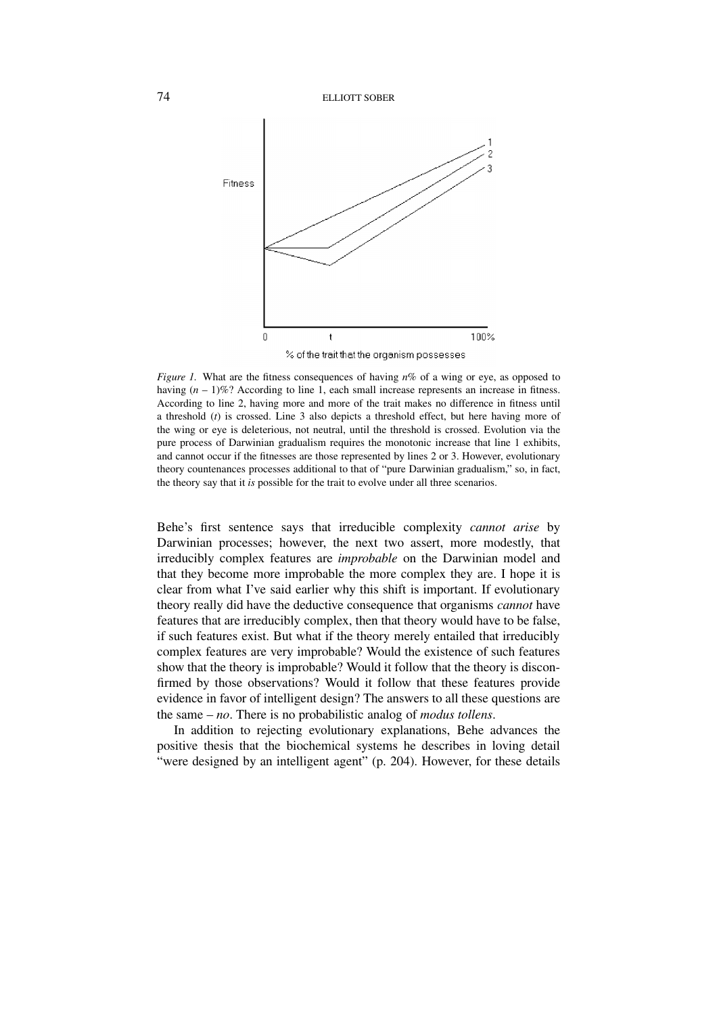

% of the trait that the organism possesses

*Figure 1.* What are the fitness consequences of having  $n\%$  of a wing or eye, as opposed to having  $(n - 1)$ %? According to line 1, each small increase represents an increase in fitness. According to line 2, having more and more of the trait makes no difference in fitness until a threshold (*t*) is crossed. Line 3 also depicts a threshold effect, but here having more of the wing or eye is deleterious, not neutral, until the threshold is crossed. Evolution via the pure process of Darwinian gradualism requires the monotonic increase that line 1 exhibits, and cannot occur if the fitnesses are those represented by lines 2 or 3. However, evolutionary theory countenances processes additional to that of "pure Darwinian gradualism," so, in fact, the theory say that it *is* possible for the trait to evolve under all three scenarios.

Behe's first sentence says that irreducible complexity *cannot arise* by Darwinian processes; however, the next two assert, more modestly, that irreducibly complex features are *improbable* on the Darwinian model and that they become more improbable the more complex they are. I hope it is clear from what I've said earlier why this shift is important. If evolutionary theory really did have the deductive consequence that organisms *cannot* have features that are irreducibly complex, then that theory would have to be false, if such features exist. But what if the theory merely entailed that irreducibly complex features are very improbable? Would the existence of such features show that the theory is improbable? Would it follow that the theory is disconfirmed by those observations? Would it follow that these features provide evidence in favor of intelligent design? The answers to all these questions are the same – *no*. There is no probabilistic analog of *modus tollens*.

In addition to rejecting evolutionary explanations, Behe advances the positive thesis that the biochemical systems he describes in loving detail "were designed by an intelligent agent" (p. 204). However, for these details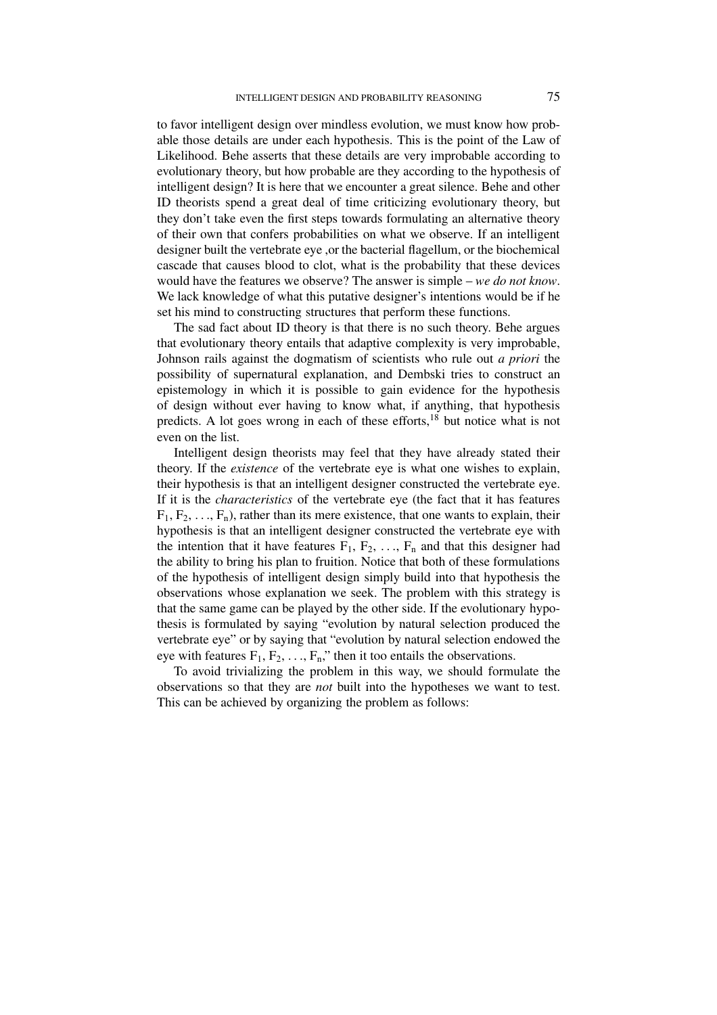to favor intelligent design over mindless evolution, we must know how probable those details are under each hypothesis. This is the point of the Law of Likelihood. Behe asserts that these details are very improbable according to evolutionary theory, but how probable are they according to the hypothesis of intelligent design? It is here that we encounter a great silence. Behe and other ID theorists spend a great deal of time criticizing evolutionary theory, but they don't take even the first steps towards formulating an alternative theory of their own that confers probabilities on what we observe. If an intelligent designer built the vertebrate eye ,or the bacterial flagellum, or the biochemical cascade that causes blood to clot, what is the probability that these devices would have the features we observe? The answer is simple – *we do not know*. We lack knowledge of what this putative designer's intentions would be if he set his mind to constructing structures that perform these functions.

The sad fact about ID theory is that there is no such theory. Behe argues that evolutionary theory entails that adaptive complexity is very improbable, Johnson rails against the dogmatism of scientists who rule out *a priori* the possibility of supernatural explanation, and Dembski tries to construct an epistemology in which it is possible to gain evidence for the hypothesis of design without ever having to know what, if anything, that hypothesis predicts. A lot goes wrong in each of these efforts,<sup>18</sup> but notice what is not even on the list.

Intelligent design theorists may feel that they have already stated their theory. If the *existence* of the vertebrate eye is what one wishes to explain, their hypothesis is that an intelligent designer constructed the vertebrate eye. If it is the *characteristics* of the vertebrate eye (the fact that it has features  $F_1, F_2, \ldots, F_n$ , rather than its mere existence, that one wants to explain, their hypothesis is that an intelligent designer constructed the vertebrate eye with the intention that it have features  $F_1, F_2, \ldots, F_n$  and that this designer had the ability to bring his plan to fruition. Notice that both of these formulations of the hypothesis of intelligent design simply build into that hypothesis the observations whose explanation we seek. The problem with this strategy is that the same game can be played by the other side. If the evolutionary hypothesis is formulated by saying "evolution by natural selection produced the vertebrate eye" or by saying that "evolution by natural selection endowed the eye with features  $F_1, F_2, \ldots, F_n$ ," then it too entails the observations.

To avoid trivializing the problem in this way, we should formulate the observations so that they are *not* built into the hypotheses we want to test. This can be achieved by organizing the problem as follows: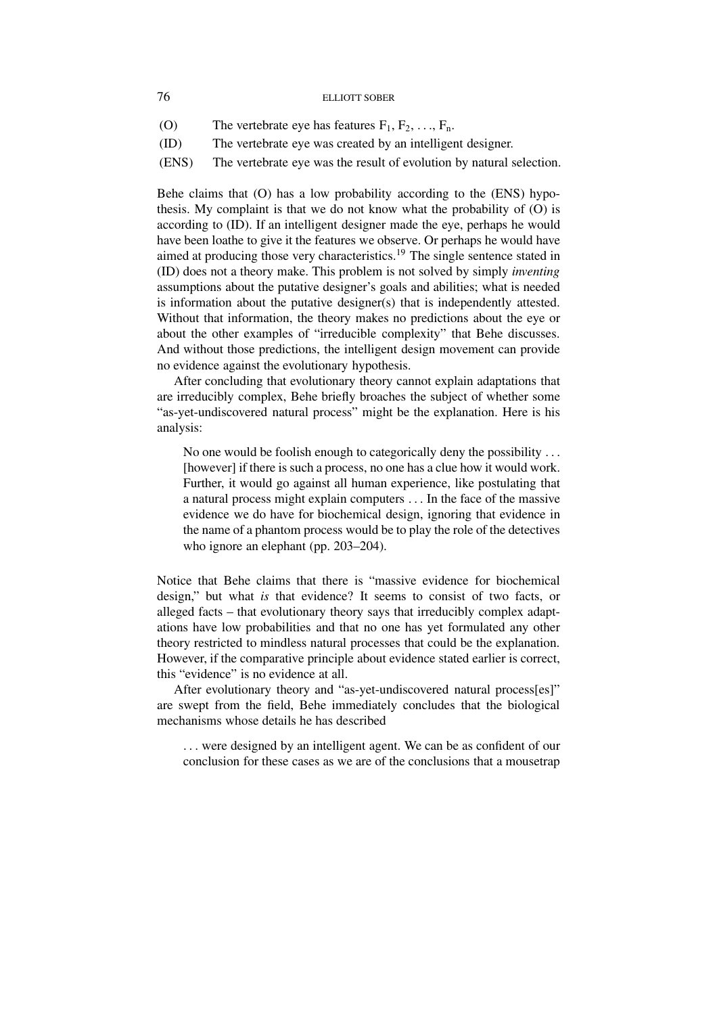- (O) The vertebrate eye has features  $F_1, F_2, \ldots, F_n$ .
- (ID) The vertebrate eye was created by an intelligent designer.
- (ENS) The vertebrate eye was the result of evolution by natural selection.

Behe claims that (O) has a low probability according to the (ENS) hypothesis. My complaint is that we do not know what the probability of (O) is according to (ID). If an intelligent designer made the eye, perhaps he would have been loathe to give it the features we observe. Or perhaps he would have aimed at producing those very characteristics.<sup>19</sup> The single sentence stated in (ID) does not a theory make. This problem is not solved by simply *inventing* assumptions about the putative designer's goals and abilities; what is needed is information about the putative designer(s) that is independently attested. Without that information, the theory makes no predictions about the eye or about the other examples of "irreducible complexity" that Behe discusses. And without those predictions, the intelligent design movement can provide no evidence against the evolutionary hypothesis.

After concluding that evolutionary theory cannot explain adaptations that are irreducibly complex, Behe briefly broaches the subject of whether some "as-yet-undiscovered natural process" might be the explanation. Here is his analysis:

No one would be foolish enough to categorically deny the possibility *...* [however] if there is such a process, no one has a clue how it would work. Further, it would go against all human experience, like postulating that a natural process might explain computers *...* In the face of the massive evidence we do have for biochemical design, ignoring that evidence in the name of a phantom process would be to play the role of the detectives who ignore an elephant (pp. 203–204).

Notice that Behe claims that there is "massive evidence for biochemical design," but what *is* that evidence? It seems to consist of two facts, or alleged facts – that evolutionary theory says that irreducibly complex adaptations have low probabilities and that no one has yet formulated any other theory restricted to mindless natural processes that could be the explanation. However, if the comparative principle about evidence stated earlier is correct, this "evidence" is no evidence at all.

After evolutionary theory and "as-yet-undiscovered natural process[es]" are swept from the field, Behe immediately concludes that the biological mechanisms whose details he has described

*...* were designed by an intelligent agent. We can be as confident of our conclusion for these cases as we are of the conclusions that a mousetrap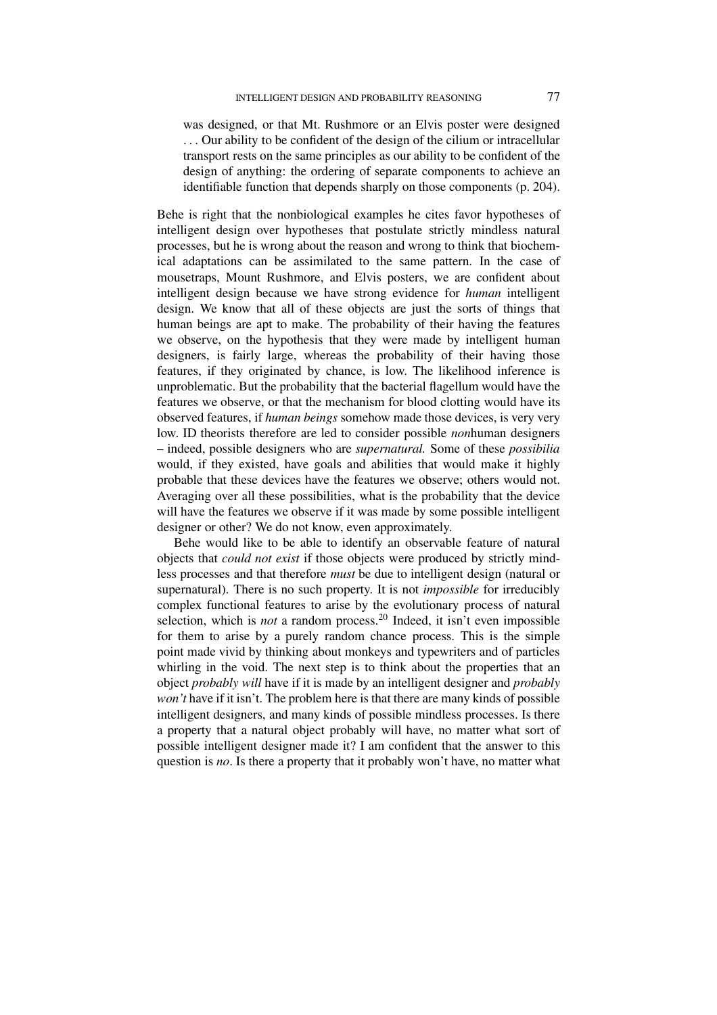was designed, or that Mt. Rushmore or an Elvis poster were designed *...* Our ability to be confident of the design of the cilium or intracellular transport rests on the same principles as our ability to be confident of the design of anything: the ordering of separate components to achieve an identifiable function that depends sharply on those components (p. 204).

Behe is right that the nonbiological examples he cites favor hypotheses of intelligent design over hypotheses that postulate strictly mindless natural processes, but he is wrong about the reason and wrong to think that biochemical adaptations can be assimilated to the same pattern. In the case of mousetraps, Mount Rushmore, and Elvis posters, we are confident about intelligent design because we have strong evidence for *human* intelligent design. We know that all of these objects are just the sorts of things that human beings are apt to make. The probability of their having the features we observe, on the hypothesis that they were made by intelligent human designers, is fairly large, whereas the probability of their having those features, if they originated by chance, is low. The likelihood inference is unproblematic. But the probability that the bacterial flagellum would have the features we observe, or that the mechanism for blood clotting would have its observed features, if *human beings* somehow made those devices, is very very low. ID theorists therefore are led to consider possible *non*human designers – indeed, possible designers who are *supernatural.* Some of these *possibilia* would, if they existed, have goals and abilities that would make it highly probable that these devices have the features we observe; others would not. Averaging over all these possibilities, what is the probability that the device will have the features we observe if it was made by some possible intelligent designer or other? We do not know, even approximately.

Behe would like to be able to identify an observable feature of natural objects that *could not exist* if those objects were produced by strictly mindless processes and that therefore *must* be due to intelligent design (natural or supernatural). There is no such property. It is not *impossible* for irreducibly complex functional features to arise by the evolutionary process of natural selection, which is *not* a random process.<sup>20</sup> Indeed, it isn't even impossible for them to arise by a purely random chance process. This is the simple point made vivid by thinking about monkeys and typewriters and of particles whirling in the void. The next step is to think about the properties that an object *probably will* have if it is made by an intelligent designer and *probably won't* have if it isn't. The problem here is that there are many kinds of possible intelligent designers, and many kinds of possible mindless processes. Is there a property that a natural object probably will have, no matter what sort of possible intelligent designer made it? I am confident that the answer to this question is *no*. Is there a property that it probably won't have, no matter what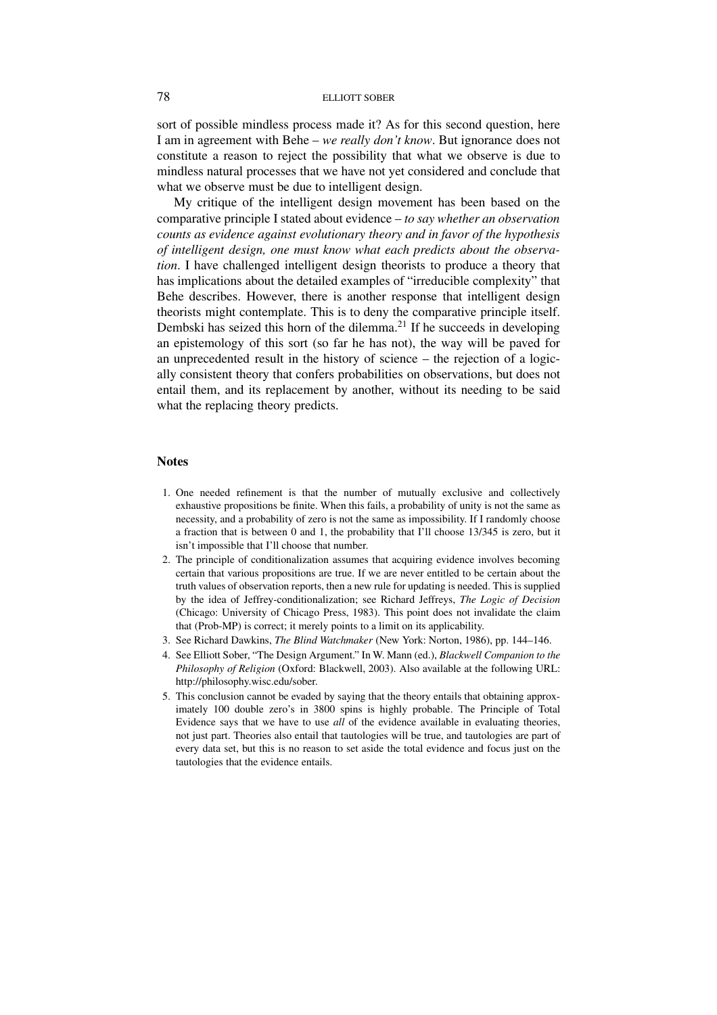sort of possible mindless process made it? As for this second question, here I am in agreement with Behe – *we really don't know*. But ignorance does not constitute a reason to reject the possibility that what we observe is due to mindless natural processes that we have not yet considered and conclude that what we observe must be due to intelligent design.

My critique of the intelligent design movement has been based on the comparative principle I stated about evidence – *to say whether an observation counts as evidence against evolutionary theory and in favor of the hypothesis of intelligent design, one must know what each predicts about the observation*. I have challenged intelligent design theorists to produce a theory that has implications about the detailed examples of "irreducible complexity" that Behe describes. However, there is another response that intelligent design theorists might contemplate. This is to deny the comparative principle itself. Dembski has seized this horn of the dilemma.<sup>21</sup> If he succeeds in developing an epistemology of this sort (so far he has not), the way will be paved for an unprecedented result in the history of science – the rejection of a logically consistent theory that confers probabilities on observations, but does not entail them, and its replacement by another, without its needing to be said what the replacing theory predicts.

#### **Notes**

- 1. One needed refinement is that the number of mutually exclusive and collectively exhaustive propositions be finite. When this fails, a probability of unity is not the same as necessity, and a probability of zero is not the same as impossibility. If I randomly choose a fraction that is between 0 and 1, the probability that I'll choose 13/345 is zero, but it isn't impossible that I'll choose that number.
- 2. The principle of conditionalization assumes that acquiring evidence involves becoming certain that various propositions are true. If we are never entitled to be certain about the truth values of observation reports, then a new rule for updating is needed. This is supplied by the idea of Jeffrey-conditionalization; see Richard Jeffreys, *The Logic of Decision* (Chicago: University of Chicago Press, 1983). This point does not invalidate the claim that (Prob-MP) is correct; it merely points to a limit on its applicability.
- 3. See Richard Dawkins, *The Blind Watchmaker* (New York: Norton, 1986), pp. 144–146.
- 4. See Elliott Sober, "The Design Argument." In W. Mann (ed.), *Blackwell Companion to the Philosophy of Religion* (Oxford: Blackwell, 2003). Also available at the following URL: http://philosophy.wisc.edu/sober.
- 5. This conclusion cannot be evaded by saying that the theory entails that obtaining approximately 100 double zero's in 3800 spins is highly probable. The Principle of Total Evidence says that we have to use *all* of the evidence available in evaluating theories, not just part. Theories also entail that tautologies will be true, and tautologies are part of every data set, but this is no reason to set aside the total evidence and focus just on the tautologies that the evidence entails.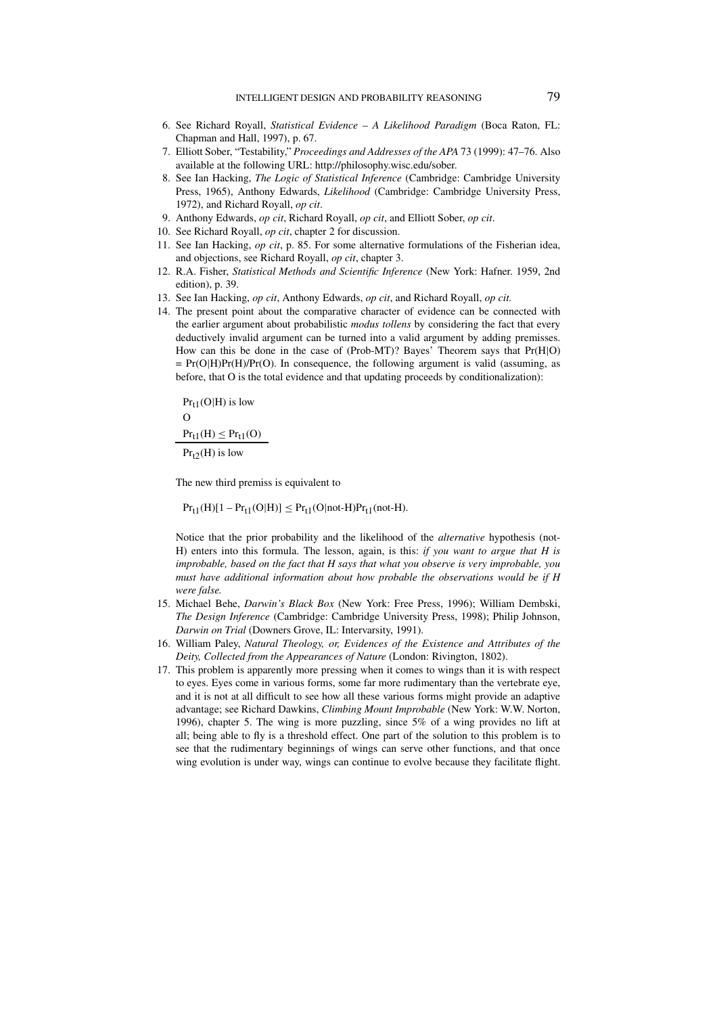- 6. See Richard Royall, *Statistical Evidence A Likelihood Paradigm* (Boca Raton, FL: Chapman and Hall, 1997), p. 67.
- 7. Elliott Sober, "Testability," *Proceedings and Addresses of the APA* 73 (1999): 47–76. Also available at the following URL: http://philosophy.wisc.edu/sober.
- 8. See Ian Hacking, *The Logic of Statistical Inference* (Cambridge: Cambridge University Press, 1965), Anthony Edwards, *Likelihood* (Cambridge: Cambridge University Press, 1972), and Richard Royall, *op cit*.
- 9. Anthony Edwards, *op cit*, Richard Royall, *op cit*, and Elliott Sober, *op cit*.
- 10. See Richard Royall, *op cit*, chapter 2 for discussion.
- 11. See Ian Hacking, *op cit*, p. 85. For some alternative formulations of the Fisherian idea, and objections, see Richard Royall, *op cit*, chapter 3.
- 12. R.A. Fisher, *Statistical Methods and Scientific Inference* (New York: Hafner. 1959, 2nd edition), p. 39.
- 13. See Ian Hacking, *op cit*, Anthony Edwards, *op cit*, and Richard Royall, *op cit.*
- 14. The present point about the comparative character of evidence can be connected with the earlier argument about probabilistic *modus tollens* by considering the fact that every deductively invalid argument can be turned into a valid argument by adding premisses. How can this be done in the case of (Prob-MT)? Bayes' Theorem says that Pr(H|O)  $= Pr(O|H)Pr(H)/Pr(O)$ . In consequence, the following argument is valid (assuming, as before, that O is the total evidence and that updating proceeds by conditionalization):

 $Pr_{t1}(O|H)$  is low O  $Pr_{t1}(H) \leq Pr_{t1}(O)$  $Pr<sub>t2</sub>(H)$  is low

The new third premiss is equivalent to

 $Pr_{t1}(H)[1 - Pr_{t1}(O|H)] \leq Pr_{t1}(O|not-H)Pr_{t1}(not-H).$ 

Notice that the prior probability and the likelihood of the *alternative* hypothesis (not-H) enters into this formula. The lesson, again, is this: *if you want to argue that H is improbable, based on the fact that H says that what you observe is very improbable, you must have additional information about how probable the observations would be if H were false.*

- 15. Michael Behe, *Darwin's Black Box* (New York: Free Press, 1996); William Dembski, *The Design Inference* (Cambridge: Cambridge University Press, 1998); Philip Johnson, *Darwin on Trial* (Downers Grove, IL: Intervarsity, 1991).
- 16. William Paley, *Natural Theology, or, Evidences of the Existence and Attributes of the Deity, Collected from the Appearances of Nature* (London: Rivington, 1802).
- 17. This problem is apparently more pressing when it comes to wings than it is with respect to eyes. Eyes come in various forms, some far more rudimentary than the vertebrate eye, and it is not at all difficult to see how all these various forms might provide an adaptive advantage; see Richard Dawkins, *Climbing Mount Improbable* (New York: W.W. Norton, 1996), chapter 5. The wing is more puzzling, since 5% of a wing provides no lift at all; being able to fly is a threshold effect. One part of the solution to this problem is to see that the rudimentary beginnings of wings can serve other functions, and that once wing evolution is under way, wings can continue to evolve because they facilitate flight.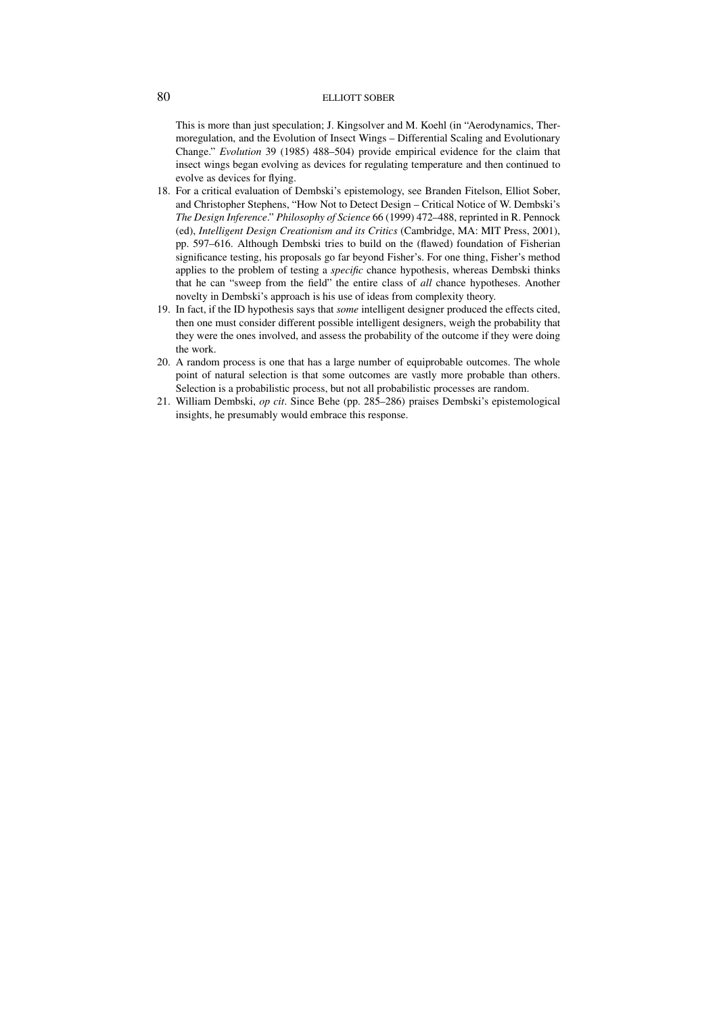This is more than just speculation; J. Kingsolver and M. Koehl (in "Aerodynamics, Thermoregulation, and the Evolution of Insect Wings – Differential Scaling and Evolutionary Change." *Evolution* 39 (1985) 488–504) provide empirical evidence for the claim that insect wings began evolving as devices for regulating temperature and then continued to evolve as devices for flying.

- 18. For a critical evaluation of Dembski's epistemology, see Branden Fitelson, Elliot Sober, and Christopher Stephens, "How Not to Detect Design – Critical Notice of W. Dembski's *The Design Inference*." *Philosophy of Science* 66 (1999) 472–488, reprinted in R. Pennock (ed), *Intelligent Design Creationism and its Critics* (Cambridge, MA: MIT Press, 2001), pp. 597–616. Although Dembski tries to build on the (flawed) foundation of Fisherian significance testing, his proposals go far beyond Fisher's. For one thing, Fisher's method applies to the problem of testing a *specific* chance hypothesis, whereas Dembski thinks that he can "sweep from the field" the entire class of *all* chance hypotheses. Another novelty in Dembski's approach is his use of ideas from complexity theory.
- 19. In fact, if the ID hypothesis says that *some* intelligent designer produced the effects cited, then one must consider different possible intelligent designers, weigh the probability that they were the ones involved, and assess the probability of the outcome if they were doing the work.
- 20. A random process is one that has a large number of equiprobable outcomes. The whole point of natural selection is that some outcomes are vastly more probable than others. Selection is a probabilistic process, but not all probabilistic processes are random.
- 21. William Dembski, *op cit*. Since Behe (pp. 285–286) praises Dembski's epistemological insights, he presumably would embrace this response.